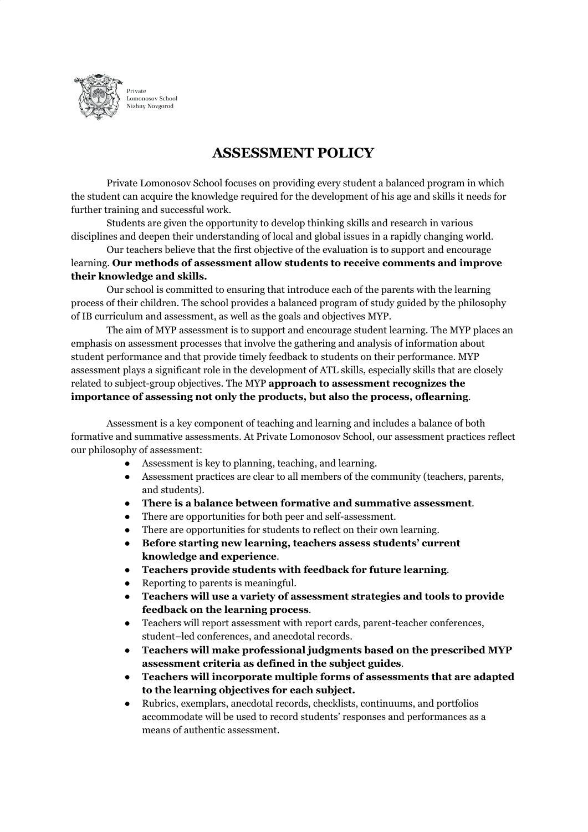

**ASSESSMENT POLICY**

Private Lomonosov School focuses on providing every student a balanced program in which the student can acquire the knowledge required for the development of his age and skills it needs for further training and successful work.

Students are given the opportunity to develop thinking skills and research in various disciplines and deepen their understanding of local and global issues in a rapidly changing world.

Our teachers believe that the first objective of the evaluation is to support and encourage learning. **Our methods of assessment allow students to receive comments and improve their knowledge and skills.**

Our school is committed to ensuring that introduce each of the parents with the learning process of their children. The school provides a balanced program of study guided by the philosophy of IB curriculum and assessment, as well as the goals and objectives MYP.

The aim of MYP assessment is to support and encourage student learning. The MYP places an emphasis on assessment processes that involve the gathering and analysis of information about student performance and that provide timely feedback to students on their performance. MYP assessment plays a significant role in the development of ATL skills, especially skills that are closely related to subject-group objectives. The MYP **approach to assessment recognizes the importance of assessing not only the products, but also the process, oflearning**.

Assessment is a key component of teaching and learning and includes a balance of both formative and summative assessments. At Private Lomonosov School, our assessment practices reflect our philosophy of assessment:

- Assessment is key to planning, teaching, and learning.
- Assessment practices are clear to all members of the community (teachers, parents, and students).
- **There is a balance between formative and summative assessment**.
- There are opportunities for both peer and self-assessment.
- There are opportunities for students to reflect on their own learning.
- **Before starting new learning, teachers assess students' current knowledge and experience**.
- **Teachers provide students with feedback for future learning**.
- Reporting to parents is meaningful.
- **Teachers will use a variety of assessment strategies and tools to provide feedback on the learning process**.
- Teachers will report assessment with report cards, parent-teacher conferences, student–led conferences, and anecdotal records.
- **Teachers will make professional judgments based on the prescribed MYP assessment criteria as defined in the subject guides**.
- **● Teachers will incorporate multiple forms of assessments that are adapted to the learning objectives for each subject.**
- Rubrics, exemplars, anecdotal records, checklists, continuums, and portfolios accommodate will be used to record students' responses and performances as a means of authentic assessment.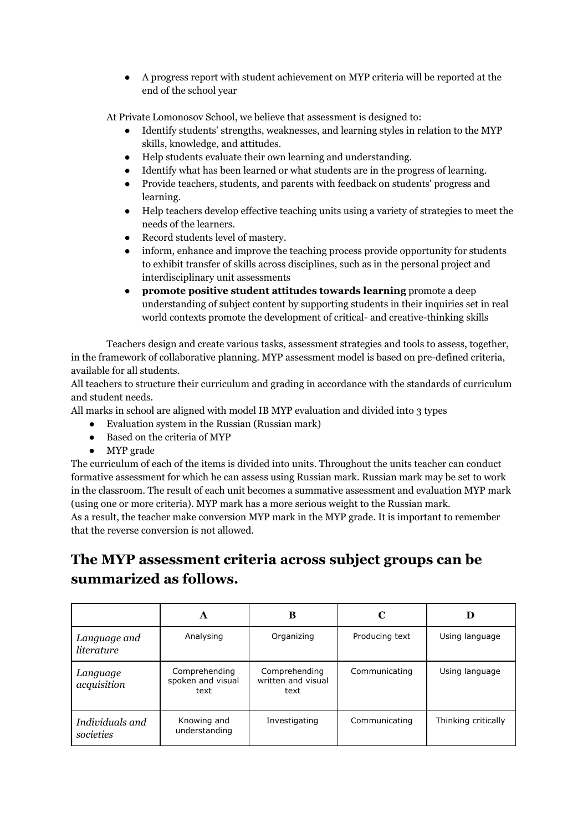● A progress report with student achievement on MYP criteria will be reported at the end of the school year

At Private Lomonosov School, we believe that assessment is designed to:

- Identify students' strengths, weaknesses, and learning styles in relation to the MYP skills, knowledge, and attitudes.
- Help students evaluate their own learning and understanding.
- Identify what has been learned or what students are in the progress of learning.
- Provide teachers, students, and parents with feedback on students' progress and learning.
- Help teachers develop effective teaching units using a variety of strategies to meet the needs of the learners.
- Record students level of mastery.
- inform, enhance and improve the teaching process provide opportunity for students to exhibit transfer of skills across disciplines, such as in the personal project and interdisciplinary unit assessments
- **promote positive student attitudes towards learning** promote a deep understanding of subject content by supporting students in their inquiries set in real world contexts promote the development of critical- and creative-thinking skills

Teachers design and create various tasks, assessment strategies and tools to assess, together, in the framework of collaborative planning. MYP assessment model is based on pre-defined criteria, available for all students.

All teachers to structure their curriculum and grading in accordance with the standards of curriculum and student needs.

All marks in school are aligned with model IB MYP evaluation and divided into 3 types

- Evaluation system in the Russian (Russian mark)
- Based on the criteria of MYP
- MYP grade

The curriculum of each of the items is divided into units. Throughout the units teacher can conduct formative assessment for which he can assess using Russian mark. Russian mark may be set to work in the classroom. The result of each unit becomes a summative assessment and evaluation MYP mark (using one or more criteria). MYP mark has a more serious weight to the Russian mark.

As a result, the teacher make conversion MYP mark in the MYP grade. It is important to remember that the reverse conversion is not allowed.

## **The MYP assessment criteria across subject groups can be summarized as follows.**

|                              | A                                          | в                                           |                |                     |
|------------------------------|--------------------------------------------|---------------------------------------------|----------------|---------------------|
| Language and<br>literature   | Analysing                                  | Organizing                                  | Producing text | Using language      |
| Language<br>acquisition      | Comprehending<br>spoken and visual<br>text | Comprehending<br>written and visual<br>text | Communicating  | Using language      |
| Individuals and<br>societies | Knowing and<br>understanding               | Investigating                               | Communicating  | Thinking critically |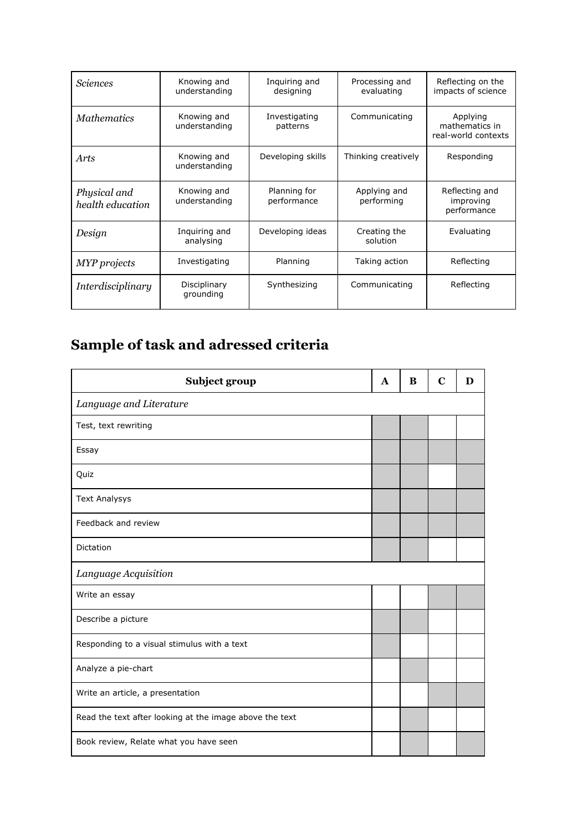| <b>Sciences</b>                  | Knowing and<br>understanding | Inquiring and<br>designing  | Processing and<br>evaluating           | Reflecting on the<br>impacts of science           |  |
|----------------------------------|------------------------------|-----------------------------|----------------------------------------|---------------------------------------------------|--|
| <b>Mathematics</b>               | Knowing and<br>understanding | Investigating<br>patterns   | Communicating                          | Applying<br>mathematics in<br>real-world contexts |  |
| Arts                             | Knowing and<br>understanding | Developing skills           | Thinking creatively                    | Responding                                        |  |
| Physical and<br>health education | Knowing and<br>understanding | Planning for<br>performance | Applying and<br>performing             | Reflecting and<br>improving<br>performance        |  |
| Design                           | Inquiring and<br>analysing   | Developing ideas            | Creating the<br>Evaluating<br>solution |                                                   |  |
| MYP projects                     | Investigating                | Planning                    | Taking action                          | Reflecting                                        |  |
| Interdisciplinary                | Disciplinary<br>grounding    | Synthesizing                | Communicating<br>Reflecting            |                                                   |  |

## **Sample of task and adressed criteria**

| Subject group                                           | A | B | C | D |  |  |
|---------------------------------------------------------|---|---|---|---|--|--|
| Language and Literature                                 |   |   |   |   |  |  |
| Test, text rewriting                                    |   |   |   |   |  |  |
| Essay                                                   |   |   |   |   |  |  |
| Quiz                                                    |   |   |   |   |  |  |
| <b>Text Analysys</b>                                    |   |   |   |   |  |  |
| Feedback and review                                     |   |   |   |   |  |  |
| <b>Dictation</b>                                        |   |   |   |   |  |  |
| Language Acquisition                                    |   |   |   |   |  |  |
| Write an essay                                          |   |   |   |   |  |  |
| Describe a picture                                      |   |   |   |   |  |  |
| Responding to a visual stimulus with a text             |   |   |   |   |  |  |
| Analyze a pie-chart                                     |   |   |   |   |  |  |
| Write an article, a presentation                        |   |   |   |   |  |  |
| Read the text after looking at the image above the text |   |   |   |   |  |  |
| Book review, Relate what you have seen                  |   |   |   |   |  |  |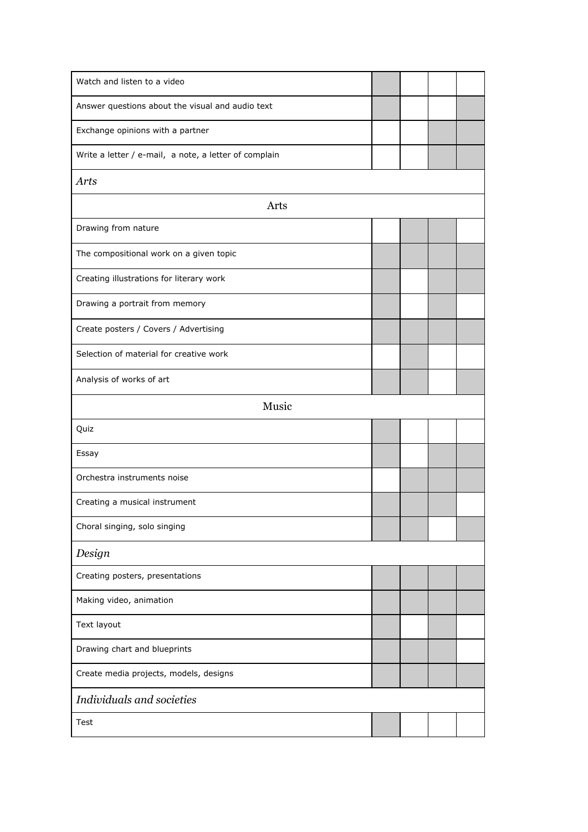| Watch and listen to a video                           |  |  |  |  |
|-------------------------------------------------------|--|--|--|--|
| Answer questions about the visual and audio text      |  |  |  |  |
| Exchange opinions with a partner                      |  |  |  |  |
| Write a letter / e-mail, a note, a letter of complain |  |  |  |  |
| Arts                                                  |  |  |  |  |
| Arts                                                  |  |  |  |  |
| Drawing from nature                                   |  |  |  |  |
| The compositional work on a given topic               |  |  |  |  |
| Creating illustrations for literary work              |  |  |  |  |
| Drawing a portrait from memory                        |  |  |  |  |
| Create posters / Covers / Advertising                 |  |  |  |  |
| Selection of material for creative work               |  |  |  |  |
| Analysis of works of art                              |  |  |  |  |
| Music                                                 |  |  |  |  |
| Quiz                                                  |  |  |  |  |
| Essay                                                 |  |  |  |  |
| Orchestra instruments noise                           |  |  |  |  |
| Creating a musical instrument                         |  |  |  |  |
| Choral singing, solo singing                          |  |  |  |  |
| Design                                                |  |  |  |  |
| Creating posters, presentations                       |  |  |  |  |
| Making video, animation                               |  |  |  |  |
| Text layout                                           |  |  |  |  |
| Drawing chart and blueprints                          |  |  |  |  |
| Create media projects, models, designs                |  |  |  |  |
| Individuals and societies                             |  |  |  |  |
| Test                                                  |  |  |  |  |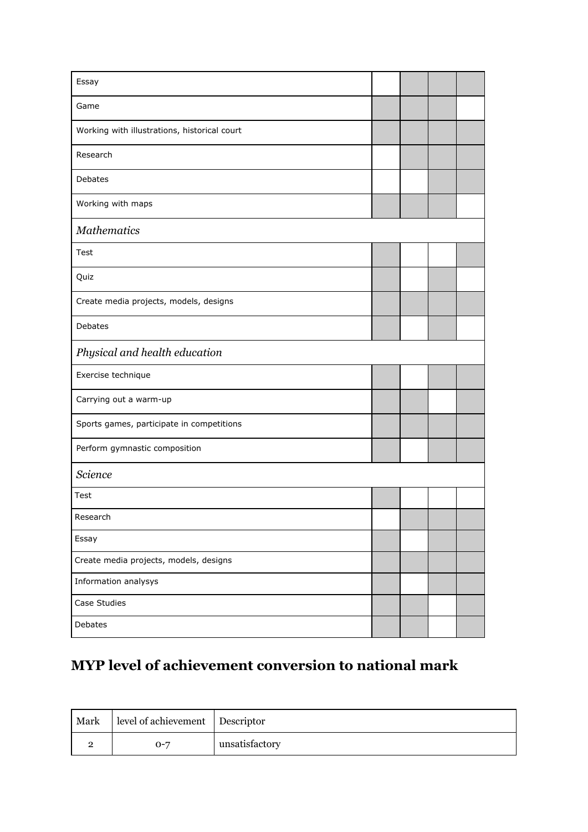| Essay                                        |  |  |  |  |
|----------------------------------------------|--|--|--|--|
| Game                                         |  |  |  |  |
| Working with illustrations, historical court |  |  |  |  |
| Research                                     |  |  |  |  |
| Debates                                      |  |  |  |  |
| Working with maps                            |  |  |  |  |
| <b>Mathematics</b>                           |  |  |  |  |
| Test                                         |  |  |  |  |
| Quiz                                         |  |  |  |  |
| Create media projects, models, designs       |  |  |  |  |
| Debates                                      |  |  |  |  |
| Physical and health education                |  |  |  |  |
| Exercise technique                           |  |  |  |  |
| Carrying out a warm-up                       |  |  |  |  |
| Sports games, participate in competitions    |  |  |  |  |
| Perform gymnastic composition                |  |  |  |  |
| Science                                      |  |  |  |  |
| Test                                         |  |  |  |  |
| Research                                     |  |  |  |  |
| Essay                                        |  |  |  |  |
| Create media projects, models, designs       |  |  |  |  |
| Information analysys                         |  |  |  |  |
| Case Studies                                 |  |  |  |  |
| Debates                                      |  |  |  |  |

## **MYP level of achievement conversion to national mark**

| Mark | level of achievement   Descriptor |                |
|------|-----------------------------------|----------------|
|      | $O - 7$                           | unsatisfactory |